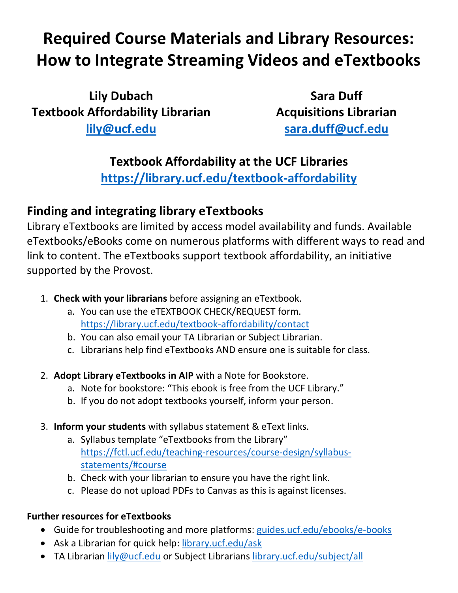# **Required Course Materials and Library Resources: How to Integrate Streaming Videos and eTextbooks**

**Lily Dubach Textbook Affordability Librarian lily@ucf.edu**

**Sara Duff Acquisitions Librarian sara.duff@ucf.edu**

## **Textbook Affordability at the UCF Libraries**

**https://library.ucf.edu/textbook-affordability**

# **Finding and integrating library eTextbooks**

Library eTextbooks are limited by access model availability and funds. Available eTextbooks/eBooks come on numerous platforms with different ways to read and link to content. The eTextbooks support textbook affordability, an initiative supported by the Provost.

- 1. **Check with your librarians** before assigning an eTextbook.
	- a. You can use the eTEXTBOOK CHECK/REQUEST form. https://library.ucf.edu/textbook-affordability/contact
	- b. You can also email your TA Librarian or Subject Librarian.
	- c. Librarians help find eTextbooks AND ensure one is suitable for class.
- 2. **Adopt Library eTextbooks in AIP** with a Note for Bookstore.
	- a. Note for bookstore: "This ebook is free from the UCF Library."
	- b. If you do not adopt textbooks yourself, inform your person.
- 3. **Inform your students** with syllabus statement & eText links.
	- a. Syllabus template "eTextbooks from the Library" https://fctl.ucf.edu/teaching-resources/course-design/syllabusstatements/#course
	- b. Check with your librarian to ensure you have the right link.
	- c. Please do not upload PDFs to Canvas as this is against licenses.

#### **Further resources for eTextbooks**

- Guide for troubleshooting and more platforms: guides.ucf.edu/ebooks/e-books
- Ask a Librarian for quick help: library.ucf.edu/ask
- TA Librarian lily@ucf.edu or Subject Librarians library.ucf.edu/subject/all